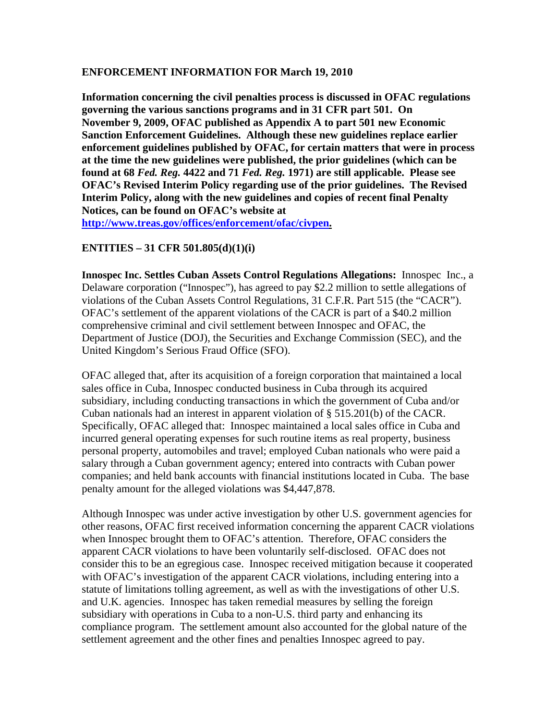## **ENFORCEMENT INFORMATION FOR March 19, 2010**

**Information concerning the civil penalties process is discussed in OFAC regulations governing the various sanctions programs and in 31 CFR part 501. On November 9, 2009, OFAC published as Appendix A to part 501 new Economic Sanction Enforcement Guidelines. Although these new guidelines replace earlier enforcement guidelines published by OFAC, for certain matters that were in process at the time the new guidelines were published, the prior guidelines (which can be found at 68** *Fed. Reg.* **4422 and 71** *Fed. Reg.* **1971) are still applicable. Please see OFAC's Revised Interim Policy regarding use of the prior guidelines. The Revised Interim Policy, along with the new guidelines and copies of recent final Penalty Notices, can be found on OFAC's website at** 

**[http://www.treas.gov/offices/enforcement/ofac/civpen.](http://www.treas.gov/offices/enforcement/ofac/civpen)**

## **ENTITIES – 31 CFR 501.805(d)(1)(i)**

**Innospec Inc. Settles Cuban Assets Control Regulations Allegations:** Innospec Inc., a Delaware corporation ("Innospec"), has agreed to pay \$2.2 million to settle allegations of violations of the Cuban Assets Control Regulations, 31 C.F.R. Part 515 (the "CACR"). OFAC's settlement of the apparent violations of the CACR is part of a \$40.2 million comprehensive criminal and civil settlement between Innospec and OFAC, the Department of Justice (DOJ), the Securities and Exchange Commission (SEC), and the United Kingdom's Serious Fraud Office (SFO).

OFAC alleged that, after its acquisition of a foreign corporation that maintained a local sales office in Cuba, Innospec conducted business in Cuba through its acquired subsidiary, including conducting transactions in which the government of Cuba and/or Cuban nationals had an interest in apparent violation of § 515.201(b) of the CACR. Specifically, OFAC alleged that: Innospec maintained a local sales office in Cuba and incurred general operating expenses for such routine items as real property, business personal property, automobiles and travel; employed Cuban nationals who were paid a salary through a Cuban government agency; entered into contracts with Cuban power companies; and held bank accounts with financial institutions located in Cuba. The base penalty amount for the alleged violations was \$4,447,878.

Although Innospec was under active investigation by other U.S. government agencies for other reasons, OFAC first received information concerning the apparent CACR violations when Innospec brought them to OFAC's attention. Therefore, OFAC considers the apparent CACR violations to have been voluntarily self-disclosed. OFAC does not consider this to be an egregious case. Innospec received mitigation because it cooperated with OFAC's investigation of the apparent CACR violations, including entering into a statute of limitations tolling agreement, as well as with the investigations of other U.S. and U.K. agencies. Innospec has taken remedial measures by selling the foreign subsidiary with operations in Cuba to a non-U.S. third party and enhancing its compliance program. The settlement amount also accounted for the global nature of the settlement agreement and the other fines and penalties Innospec agreed to pay.